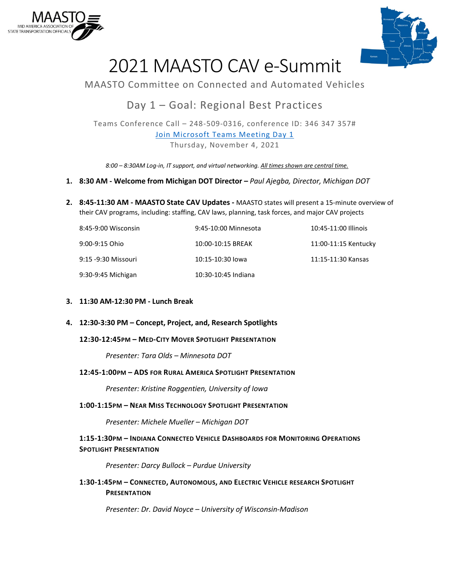



# 2021 MAASTO CAV e-Summit

## MAASTO Committee on Connected and Automated Vehicles

## Day 1 – Goal: Regional Best Practices

Teams Conference Call – 248-509-0316, conference ID: 346 347 357# [Join Microsoft Teams Meeting Day 1](https://gcc02.safelinks.protection.outlook.com/ap/t-59584e83/?url=https%3A%2F%2Fteams.microsoft.com%2Fl%2Fmeetup-join%2F19%253ameeting_NzNmZDcwMTktMzc0NC00NmI3LWI0ODktNDczYzUwYTI0Zjhi%2540thread.v2%2F0%3Fcontext%3D%257b%2522Tid%2522%253a%2522d5fb7087-3777-42ad-966a-892ef47225d1%2522%252c%2522Oid%2522%253a%2522730922ed-81de-4f0d-b1e2-20b655d91adb%2522%257d&data=04%7C01%7CAdam.Shell%40iowadot.us%7Ca2649340e0b54dbd7f9508d994ca8197%7Ca1e65fcc32fa4fdd86920cc2eb06676e%7C1%7C0%7C637704419758255821%7CUnknown%7CTWFpbGZsb3d8eyJWIjoiMC4wLjAwMDAiLCJQIjoiV2luMzIiLCJBTiI6Ik1haWwiLCJXVCI6Mn0%3D%7C1000&sdata=4u4tTBFsK8qBwd1mTPmzfg2lc7W3aEM%2BcZQO3M0Zj8w%3D&reserved=0) Thursday, November 4, 2021

*8:00 – 8:30AM Log-in, IT support, and virtual networking. All times shown are central time.* 

## **1. 8:30 AM - Welcome from Michigan DOT Director –** *Paul Ajegba, Director, Michigan DOT*

**2. 8:45-11:30 AM - MAASTO State CAV Updates -** MAASTO states will present a 15-minute overview of their CAV programs, including: staffing, CAV laws, planning, task forces, and major CAV projects

| 8:45-9:00 Wisconsin | 9:45-10:00 Minnesota | 10:45-11:00 Illinois |
|---------------------|----------------------|----------------------|
| 9:00-9:15 Ohio      | 10:00-10:15 BREAK    | 11:00-11:15 Kentucky |
| 9:15 -9:30 Missouri | 10:15-10:30 lowa     | 11:15-11:30 Kansas   |
| 9:30-9:45 Michigan  | 10:30-10:45 Indiana  |                      |

## **3. 11:30 AM-12:30 PM - Lunch Break**

## **4. 12:30-3:30 PM – Concept, Project, and, Research Spotlights**

#### **12:30-12:45PM – MED-CITY MOVER SPOTLIGHT PRESENTATION**

*Presenter: Tara Olds – Minnesota DOT*

#### **12:45-1:00PM – ADS FOR RURAL AMERICA SPOTLIGHT PRESENTATION**

*Presenter: Kristine Roggentien, University of Iowa*

## **1:00-1:15PM – NEAR MISS TECHNOLOGY SPOTLIGHT PRESENTATION**

*Presenter: Michele Mueller – Michigan DOT*

## **1:15-1:30PM – INDIANA CONNECTED VEHICLE DASHBOARDS FOR MONITORING OPERATIONS SPOTLIGHT PRESENTATION**

*Presenter: Darcy Bullock – Purdue University*

**1:30-1:45PM – CONNECTED, AUTONOMOUS, AND ELECTRIC VEHICLE RESEARCH SPOTLIGHT PRESENTATION**

*Presenter: Dr. David Noyce – University of Wisconsin-Madison*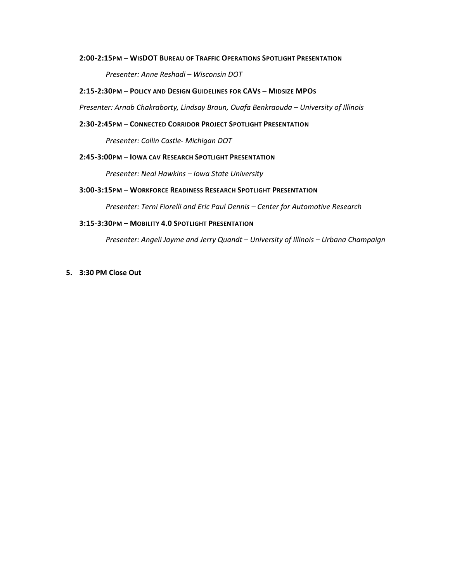#### **2:00-2:15PM – WISDOT BUREAU OF TRAFFIC OPERATIONS SPOTLIGHT PRESENTATION**

*Presenter: Anne Reshadi – Wisconsin DOT* 

#### **2:15-2:30PM – POLICY AND DESIGN GUIDELINES FOR CAVS – MIDSIZE MPOS**

*Presenter: Arnab Chakraborty, Lindsay Braun, Ouafa Benkraouda – University of Illinois* 

#### **2:30-2:45PM – CONNECTED CORRIDOR PROJECT SPOTLIGHT PRESENTATION**

*Presenter: Collin Castle- Michigan DOT*

## **2:45-3:00PM – IOWA CAV RESEARCH SPOTLIGHT PRESENTATION**

*Presenter: Neal Hawkins – Iowa State University* 

### **3:00-3:15PM – WORKFORCE READINESS RESEARCH SPOTLIGHT PRESENTATION**

*Presenter: Terni Fiorelli and Eric Paul Dennis – Center for Automotive Research* 

### **3:15-3:30PM – MOBILITY 4.0 SPOTLIGHT PRESENTATION**

*Presenter: Angeli Jayme and Jerry Quandt – University of Illinois – Urbana Champaign* 

**5. 3:30 PM Close Out**